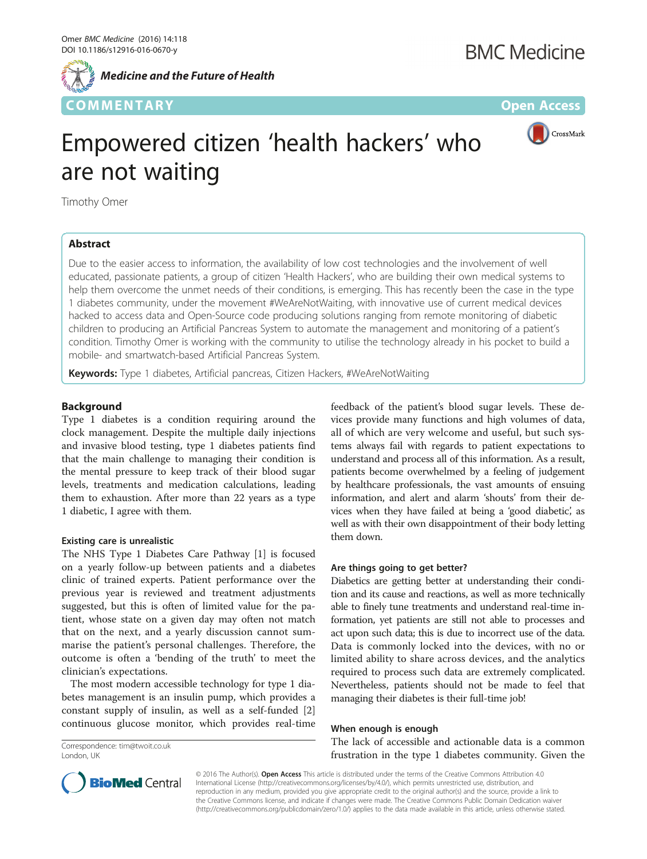

CrossMark

# Empowered citizen 'health hackers' who are not waiting

Timothy Omer

# Abstract

Due to the easier access to information, the availability of low cost technologies and the involvement of well educated, passionate patients, a group of citizen 'Health Hackers', who are building their own medical systems to help them overcome the unmet needs of their conditions, is emerging. This has recently been the case in the type 1 diabetes community, under the movement #WeAreNotWaiting, with innovative use of current medical devices hacked to access data and Open-Source code producing solutions ranging from remote monitoring of diabetic children to producing an Artificial Pancreas System to automate the management and monitoring of a patient's condition. Timothy Omer is working with the community to utilise the technology already in his pocket to build a mobile- and smartwatch-based Artificial Pancreas System.

Keywords: Type 1 diabetes, Artificial pancreas, Citizen Hackers, #WeAreNotWaiting

# Background

Type 1 diabetes is a condition requiring around the clock management. Despite the multiple daily injections and invasive blood testing, type 1 diabetes patients find that the main challenge to managing their condition is the mental pressure to keep track of their blood sugar levels, treatments and medication calculations, leading them to exhaustion. After more than 22 years as a type 1 diabetic, I agree with them.

# Existing care is unrealistic

The NHS Type 1 Diabetes Care Pathway [\[1](#page-2-0)] is focused on a yearly follow-up between patients and a diabetes clinic of trained experts. Patient performance over the previous year is reviewed and treatment adjustments suggested, but this is often of limited value for the patient, whose state on a given day may often not match that on the next, and a yearly discussion cannot summarise the patient's personal challenges. Therefore, the outcome is often a 'bending of the truth' to meet the clinician's expectations.

The most modern accessible technology for type 1 diabetes management is an insulin pump, which provides a constant supply of insulin, as well as a self-funded [\[2](#page-2-0)] continuous glucose monitor, which provides real-time

Correspondence: [tim@twoit.co.uk](mailto:tim@twoit.co.uk) London, UK

feedback of the patient's blood sugar levels. These devices provide many functions and high volumes of data, all of which are very welcome and useful, but such systems always fail with regards to patient expectations to understand and process all of this information. As a result, patients become overwhelmed by a feeling of judgement by healthcare professionals, the vast amounts of ensuing information, and alert and alarm 'shouts' from their devices when they have failed at being a 'good diabetic', as well as with their own disappointment of their body letting them down.

# Are things going to get better?

Diabetics are getting better at understanding their condition and its cause and reactions, as well as more technically able to finely tune treatments and understand real-time information, yet patients are still not able to processes and act upon such data; this is due to incorrect use of the data. Data is commonly locked into the devices, with no or limited ability to share across devices, and the analytics required to process such data are extremely complicated. Nevertheless, patients should not be made to feel that managing their diabetes is their full-time job!

# When enough is enough

The lack of accessible and actionable data is a common frustration in the type 1 diabetes community. Given the



© 2016 The Author(s). Open Access This article is distributed under the terms of the Creative Commons Attribution 4.0 International License [\(http://creativecommons.org/licenses/by/4.0/](http://creativecommons.org/licenses/by/4.0/)), which permits unrestricted use, distribution, and reproduction in any medium, provided you give appropriate credit to the original author(s) and the source, provide a link to the Creative Commons license, and indicate if changes were made. The Creative Commons Public Domain Dedication waiver [\(http://creativecommons.org/publicdomain/zero/1.0/](http://creativecommons.org/publicdomain/zero/1.0/)) applies to the data made available in this article, unless otherwise stated.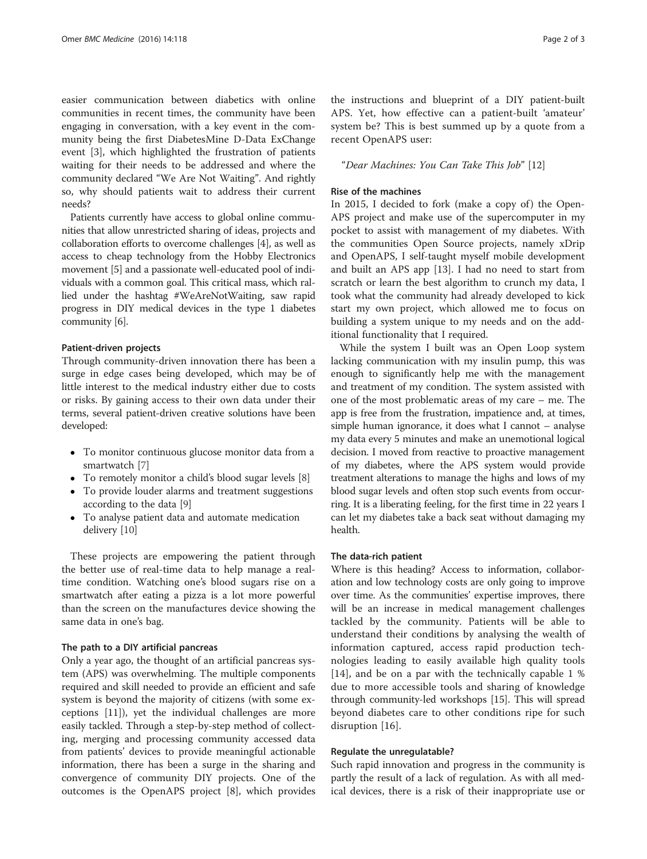easier communication between diabetics with online communities in recent times, the community have been engaging in conversation, with a key event in the community being the first DiabetesMine D-Data ExChange event [\[3](#page-2-0)], which highlighted the frustration of patients waiting for their needs to be addressed and where the community declared "We Are Not Waiting". And rightly so, why should patients wait to address their current needs?

Patients currently have access to global online communities that allow unrestricted sharing of ideas, projects and collaboration efforts to overcome challenges [[4\]](#page-2-0), as well as access to cheap technology from the Hobby Electronics movement [[5\]](#page-2-0) and a passionate well-educated pool of individuals with a common goal. This critical mass, which rallied under the hashtag #WeAreNotWaiting, saw rapid progress in DIY medical devices in the type 1 diabetes community [\[6](#page-2-0)].

#### Patient-driven projects

Through community-driven innovation there has been a surge in edge cases being developed, which may be of little interest to the medical industry either due to costs or risks. By gaining access to their own data under their terms, several patient-driven creative solutions have been developed:

- To monitor continuous glucose monitor data from a smartwatch [[7\]](#page-2-0)
- To remotely monitor a child's blood sugar levels [[8\]](#page-2-0)
- To provide louder alarms and treatment suggestions according to the data [[9](#page-2-0)]
- To analyse patient data and automate medication delivery [[10\]](#page-2-0)

These projects are empowering the patient through the better use of real-time data to help manage a realtime condition. Watching one's blood sugars rise on a smartwatch after eating a pizza is a lot more powerful than the screen on the manufactures device showing the same data in one's bag.

#### The path to a DIY artificial pancreas

Only a year ago, the thought of an artificial pancreas system (APS) was overwhelming. The multiple components required and skill needed to provide an efficient and safe system is beyond the majority of citizens (with some exceptions [\[11](#page-2-0)]), yet the individual challenges are more easily tackled. Through a step-by-step method of collecting, merging and processing community accessed data from patients' devices to provide meaningful actionable information, there has been a surge in the sharing and convergence of community DIY projects. One of the outcomes is the OpenAPS project [[8\]](#page-2-0), which provides

the instructions and blueprint of a DIY patient-built APS. Yet, how effective can a patient-built 'amateur' system be? This is best summed up by a quote from a recent OpenAPS user:

"Dear Machines: You Can Take This Job" [\[12](#page-2-0)]

#### Rise of the machines

In 2015, I decided to fork (make a copy of) the Open-APS project and make use of the supercomputer in my pocket to assist with management of my diabetes. With the communities Open Source projects, namely xDrip and OpenAPS, I self-taught myself mobile development and built an APS app [[13](#page-2-0)]. I had no need to start from scratch or learn the best algorithm to crunch my data, I took what the community had already developed to kick start my own project, which allowed me to focus on building a system unique to my needs and on the additional functionality that I required.

While the system I built was an Open Loop system lacking communication with my insulin pump, this was enough to significantly help me with the management and treatment of my condition. The system assisted with one of the most problematic areas of my care – me. The app is free from the frustration, impatience and, at times, simple human ignorance, it does what I cannot – analyse my data every 5 minutes and make an unemotional logical decision. I moved from reactive to proactive management of my diabetes, where the APS system would provide treatment alterations to manage the highs and lows of my blood sugar levels and often stop such events from occurring. It is a liberating feeling, for the first time in 22 years I can let my diabetes take a back seat without damaging my health.

# The data-rich patient

Where is this heading? Access to information, collaboration and low technology costs are only going to improve over time. As the communities' expertise improves, there will be an increase in medical management challenges tackled by the community. Patients will be able to understand their conditions by analysing the wealth of information captured, access rapid production technologies leading to easily available high quality tools [[14](#page-2-0)], and be on a par with the technically capable 1 % due to more accessible tools and sharing of knowledge through community-led workshops [[15](#page-2-0)]. This will spread beyond diabetes care to other conditions ripe for such disruption [[16](#page-2-0)].

#### Regulate the unregulatable?

Such rapid innovation and progress in the community is partly the result of a lack of regulation. As with all medical devices, there is a risk of their inappropriate use or